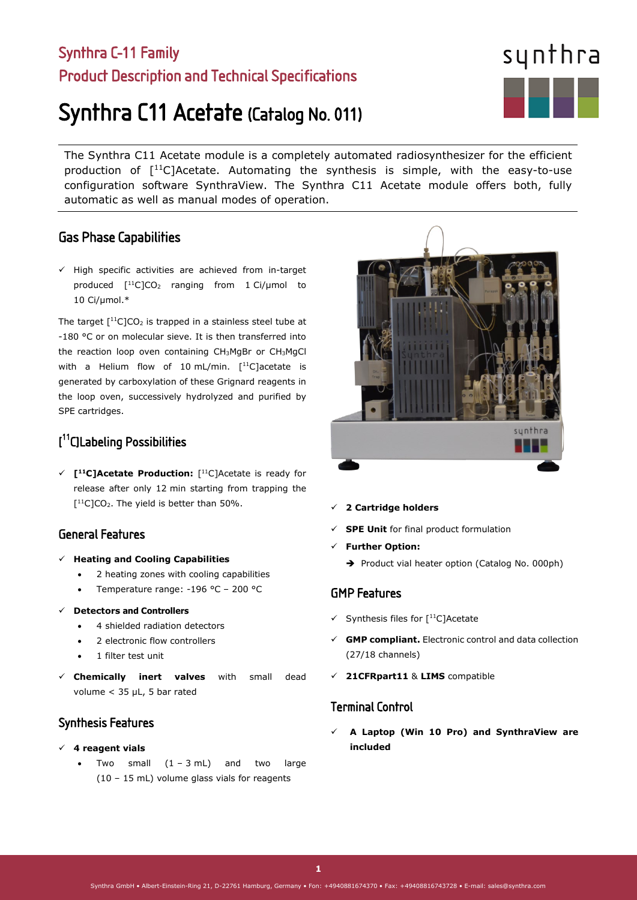## Synthra C-11 Family Product Description and Technical Specifications

# Synthra C11 Acetate (Catalog No. 011)

The Synthra C11 Acetate module is a completely automated radiosynthesizer for the efficient production of  $\lceil$ <sup>11</sup>C]Acetate. Automating the synthesis is simple, with the easy-to-use configuration software SynthraView. The Synthra C11 Acetate module offers both, fully automatic as well as manual modes of operation.

#### Gas Phase Capabilities

 $\checkmark$  High specific activities are achieved from in-target produced  $[$ <sup>11</sup>C]CO<sub>2</sub> ranging from 1 Ci/µmol to 10 Ci/µmol.\*

The target  $[{}^{11}C]CO_2$  is trapped in a stainless steel tube at -180 °C or on molecular sieve. It is then transferred into the reaction loop oven containing CH3MgBr or CH3MgCl with a Helium flow of 10 mL/min.  $[$ <sup>11</sup>C]acetate is generated by carboxylation of these Grignard reagents in the loop oven, successively hydrolyzed and purified by SPE cartridges.

### [ 11C]Labeling Possibilities

 **[11C]Acetate Production:** [11C]Acetate is ready for release after only 12 min starting from trapping the  $[$ <sup>11</sup>C]CO<sub>2</sub>. The yield is better than 50%.

#### General Features

- **Heating and Cooling Capabilities**
	- 2 heating zones with cooling capabilities
	- Temperature range: -196 °C 200 °C
- **Detectors and Controllers**
	- 4 shielded radiation detectors
	- 2 electronic flow controllers
	- 1 filter test unit
- **Chemically inert valves** with small dead volume < 35 µL, 5 bar rated

#### Synthesis Features

- **4 reagent vials** 
	- Two small  $(1 3 mL)$  and two large (10 – 15 mL) volume glass vials for reagents

#### **2 Cartridge holders**

- **SPE Unit** for final product formulation
- **Further Option:** 
	- Product vial heater option (Catalog No. 000ph)

#### GMP Features

- $\checkmark$  Synthesis files for [<sup>11</sup>C]Acetate
- **GMP compliant.** Electronic control and data collection (27/18 channels)
- **21CFRpart11** & **LIMS** compatible

#### Terminal Control

 **A Laptop (Win 10 Pro) and SynthraView are included**

**1**